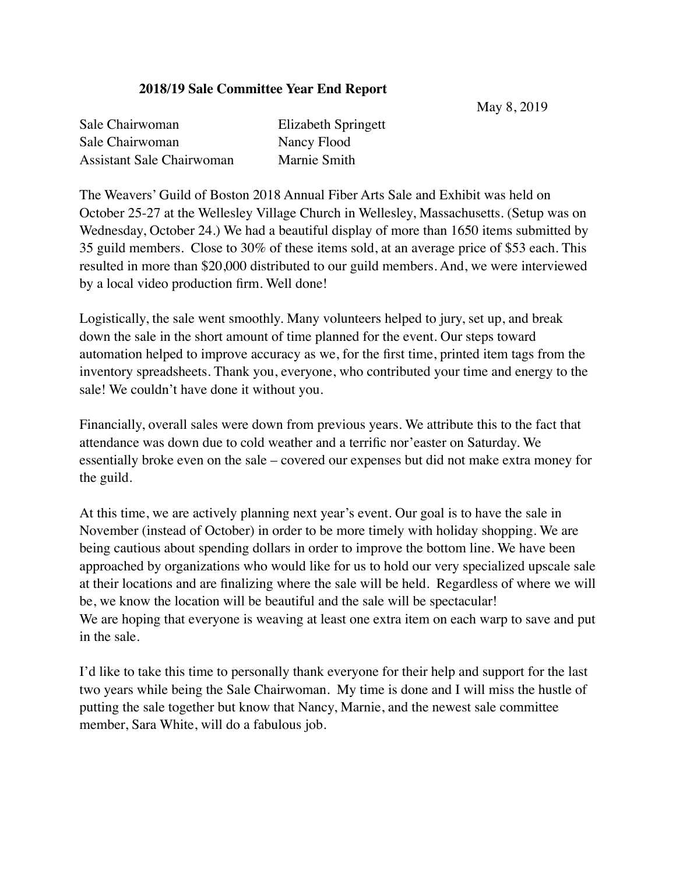## **2018/19 Sale Committee Year End Report**

May 8, 2019

| Sale Chairwoman           | Elizabeth Springett |
|---------------------------|---------------------|
| Sale Chairwoman           | Nancy Flood         |
| Assistant Sale Chairwoman | Marnie Smith        |

The Weavers' Guild of Boston 2018 Annual Fiber Arts Sale and Exhibit was held on October 25-27 at the Wellesley Village Church in Wellesley, Massachusetts. (Setup was on Wednesday, October 24.) We had a beautiful display of more than 1650 items submitted by 35 guild members. Close to 30% of these items sold, at an average price of \$53 each. This resulted in more than \$20,000 distributed to our guild members. And, we were interviewed by a local video production firm. Well done!

Logistically, the sale went smoothly. Many volunteers helped to jury, set up, and break down the sale in the short amount of time planned for the event. Our steps toward automation helped to improve accuracy as we, for the first time, printed item tags from the inventory spreadsheets. Thank you, everyone, who contributed your time and energy to the sale! We couldn't have done it without you.

Financially, overall sales were down from previous years. We attribute this to the fact that attendance was down due to cold weather and a terrific nor'easter on Saturday. We essentially broke even on the sale – covered our expenses but did not make extra money for the guild.

At this time, we are actively planning next year's event. Our goal is to have the sale in November (instead of October) in order to be more timely with holiday shopping. We are being cautious about spending dollars in order to improve the bottom line. We have been approached by organizations who would like for us to hold our very specialized upscale sale at their locations and are finalizing where the sale will be held. Regardless of where we will be, we know the location will be beautiful and the sale will be spectacular! We are hoping that everyone is weaving at least one extra item on each warp to save and put in the sale.

I'd like to take this time to personally thank everyone for their help and support for the last two years while being the Sale Chairwoman. My time is done and I will miss the hustle of putting the sale together but know that Nancy, Marnie, and the newest sale committee member, Sara White, will do a fabulous job.